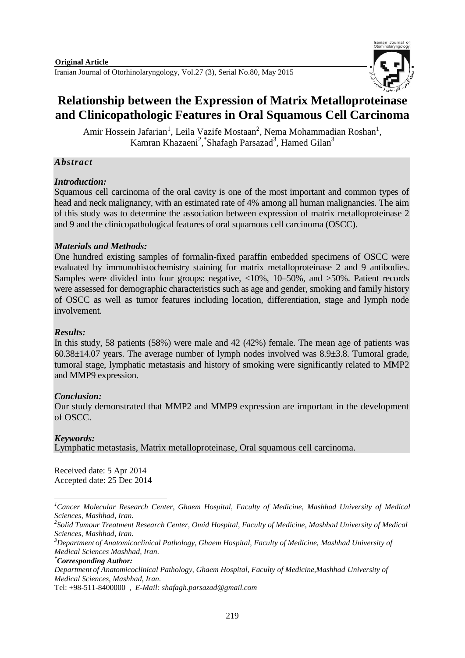

# **Relationship between the Expression of Matrix Metalloproteinase and Clinicopathologic Features in Oral Squamous Cell Carcinoma**

Amir Hossein Jafarian<sup>1</sup>, Leila Vazife Mostaan<sup>2</sup>, Nema Mohammadian Roshan<sup>1</sup>, Kamran Khazaeni<sup>2</sup>, Shafagh Parsazad<sup>3</sup>, Hamed Gilan<sup>3</sup>

# *Abstract*

# *Introduction:*

Squamous cell carcinoma of the oral cavity is one of the most important and common types of head and neck malignancy, with an estimated rate of 4% among all human malignancies. The aim of this study was to determine the association between expression of matrix metalloproteinase 2 and 9 and the clinicopathological features of oral squamous cell carcinoma (OSCC).

# *Materials and Methods:*

One hundred existing samples of formalin-fixed paraffin embedded specimens of OSCC were evaluated by immunohistochemistry staining for matrix metalloproteinase 2 and 9 antibodies. Samples were divided into four groups: negative, <10%, 10–50%, and >50%. Patient records were assessed for demographic characteristics such as age and gender, smoking and family history of OSCC as well as tumor features including location, differentiation, stage and lymph node involvement.

### *Results:*

In this study, 58 patients (58%) were male and 42 (42%) female. The mean age of patients was 60.38±14.07 years. The average number of lymph nodes involved was 8.9±3.8. Tumoral grade, tumoral stage, lymphatic metastasis and history of smoking were significantly related to MMP2 and MMP9 expression.

### *Conclusion:*

Our study demonstrated that MMP2 and MMP9 expression are important in the development of OSCC.

# *Keywords:*

**.** 

Lymphatic metastasis, Matrix metalloproteinase, Oral squamous cell carcinoma.

Received date: 5 Apr 2014 Accepted date: 25 Dec 2014

*<sup>1</sup>Cancer Molecular Research Center, Ghaem Hospital, Faculty of Medicine, Mashhad University of Medical Sciences, Mashhad, Iran.*

*<sup>2</sup> Solid Tumour Treatment Research Center, Omid Hospital, Faculty of Medicine, Mashhad University of Medical Sciences, Mashhad, Iran.*

*<sup>3</sup>Department of Anatomicoclinical Pathology, Ghaem Hospital, Faculty of Medicine, Mashhad University of Medical Sciences Mashhad, Iran.*

*<sup>\*</sup>Corresponding Author:*

*Department of Anatomicoclinical Pathology, Ghaem Hospital, Faculty of Medicine,Mashhad University of Medical Sciences, Mashhad, Iran.*

Tel: [+98-511-8400000](mailto:Tel:%20+98-511-8400000) *, E-Mail: [shafagh.parsazad@gmail.com](mailto:shafagh.parsazad@gmail.com)*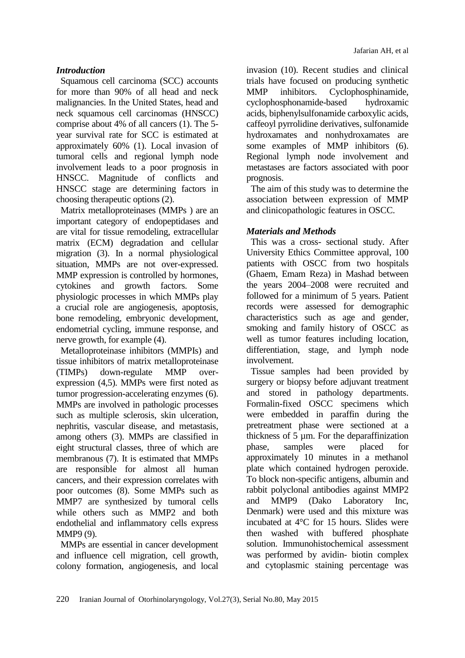# *Introduction*

Squamous cell carcinoma (SCC) accounts for more than 90% of all head and neck malignancies. In the United States, head and neck squamous cell carcinomas (HNSCC) comprise about 4% of all cancers (1). The 5 year survival rate for SCC is estimated at approximately 60% (1). Local invasion of tumoral cells and regional lymph node involvement leads to a poor prognosis in HNSCC. Magnitude of conflicts and HNSCC stage are determining factors in choosing therapeutic options (2).

Matrix metalloproteinases (MMPs ) are an important category of endopeptidases and are vital for tissue remodeling, extracellular matrix (ECM) degradation and cellular migration (3). In a normal physiological situation, MMPs are not over-expressed. MMP expression is controlled by hormones, cytokines and growth factors. Some physiologic processes in which MMPs play a crucial role are angiogenesis, apoptosis, bone remodeling, embryonic development, endometrial cycling, immune response, and nerve growth, for example (4).

Metalloproteinase inhibitors (MMPIs) and tissue inhibitors of matrix metalloproteinase (TIMPs) down-regulate MMP overexpression (4,5). MMPs were first noted as tumor progression-accelerating enzymes (6). MMPs are involved in pathologic processes such as multiple sclerosis, skin ulceration, nephritis, vascular disease, and metastasis, among others (3). MMPs are classified in eight structural classes, three of which are membranous (7). It is estimated that MMPs are responsible for almost all human cancers, and their expression correlates with poor outcomes (8). Some MMPs such as MMP7 are synthesized by tumoral cells while others such as MMP2 and both endothelial and inflammatory cells express MMP9 (9).

MMPs are essential in cancer development and influence cell migration, cell growth, colony formation, angiogenesis, and local

invasion (10). Recent studies and clinical trials have focused on producing synthetic MMP inhibitors. Cyclophosphinamide, cyclophosphonamide-based hydroxamic acids, biphenylsulfonamide carboxylic acids, caffeoyl pyrrolidine derivatives, sulfonamide hydroxamates and nonhydroxamates are some examples of MMP inhibitors (6). Regional lymph node involvement and metastases are factors associated with poor prognosis.

The aim of this study was to determine the association between expression of MMP and clinicopathologic features in OSCC.

# *Materials and Methods*

This was a cross- sectional study. After University Ethics Committee approval, 100 patients with OSCC from two hospitals (Ghaem, Emam Reza) in Mashad between the years 2004–2008 were recruited and followed for a minimum of 5 years. Patient records were assessed for demographic characteristics such as age and gender, smoking and family history of OSCC as well as tumor features including location, differentiation, stage, and lymph node involvement.

Tissue samples had been provided by surgery or biopsy before adjuvant treatment and stored in pathology departments. Formalin-fixed OSCC specimens which were embedded in paraffin during the pretreatment phase were sectioned at a thickness of 5 µm. For the deparaffinization phase, samples were placed for approximately 10 minutes in a methanol plate which contained hydrogen peroxide. To block non-specific antigens, albumin and rabbit polyclonal antibodies against MMP2 and MMP9 (Dako Laboratory Inc, Denmark) were used and this mixture was incubated at 4°C for 15 hours. Slides were then washed with buffered phosphate solution. Immunohistochemical assessment was performed by avidin- biotin complex and cytoplasmic staining percentage was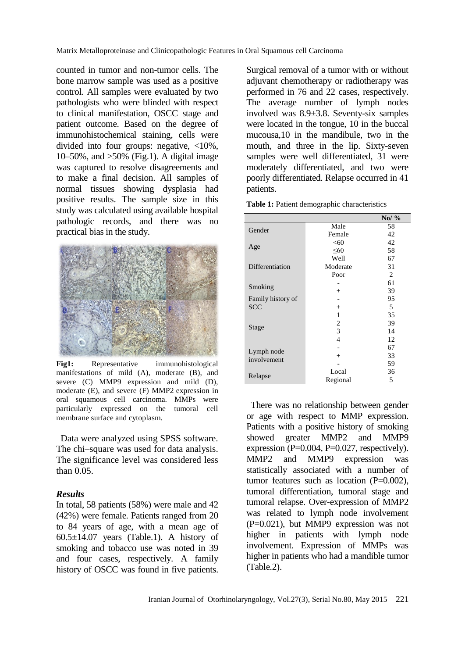counted in tumor and non-tumor cells. The bone marrow sample was used as a positive control. All samples were evaluated by two pathologists who were blinded with respect to clinical manifestation, OSCC stage and patient outcome. Based on the degree of immunohistochemical staining, cells were divided into four groups: negative, <10%, 10–50%, and >50% (Fig.1). A digital image was captured to resolve disagreements and to make a final decision. All samples of normal tissues showing dysplasia had positive results. The sample size in this study was calculated using available hospital pathologic records, and there was no practical bias in the study.



**Fig1:** Representative immunohistological manifestations of mild (A), moderate (B), and severe (C) MMP9 expression and mild (D), moderate (E), and severe (F) MMP2 expression in oral squamous cell carcinoma. MMPs were particularly expressed on the tumoral cell membrane surface and cytoplasm.

Data were analyzed using SPSS software. The chi–square was used for data analysis. The significance level was considered less than 0.05.

### *Results*

In total, 58 patients (58%) were male and 42 (42%) were female. Patients ranged from 20 to 84 years of age, with a mean age of  $60.5\pm14.07$  years (Table.1). A history of smoking and tobacco use was noted in 39 and four cases, respectively. A family history of OSCC was found in five patients.

Surgical removal of a tumor with or without adjuvant chemotherapy or radiotherapy was performed in 76 and 22 cases, respectively. The average number of lymph nodes involved was 8.9±3.8. Seventy-six samples were located in the tongue, 10 in the buccal mucousa,10 in the mandibule, two in the mouth, and three in the lip. Sixty-seven samples were well differentiated, 31 were moderately differentiated, and two were poorly differentiated. Relapse occurred in 41 patients.

|  |  | Table 1: Patient demographic characteristics |  |  |  |
|--|--|----------------------------------------------|--|--|--|
|--|--|----------------------------------------------|--|--|--|

|                   |           | $N_0/$ % |
|-------------------|-----------|----------|
| Gender            | Male      | 58       |
|                   | Female    | 42       |
|                   | <60       | 42       |
| Age               | $\leq 60$ | 58       |
|                   | Well      | 67       |
| Differentiation   | Moderate  | 31       |
|                   | Poor      | 2        |
| Smoking           |           | 61       |
|                   | $^{+}$    | 39       |
| Family history of |           | 95       |
| <b>SCC</b>        | $^{+}$    | 5        |
|                   | 1         | 35       |
| Stage             | 2         | 39       |
|                   | 3         | 14       |
|                   | 4         | 12       |
| Lymph node        |           | 67       |
| involvement       | $^{+}$    | 33       |
|                   |           | 59       |
|                   | Local     | 36       |
| Relapse           | Regional  | 5        |

There was no relationship between gender or age with respect to MMP expression. Patients with a positive history of smoking showed greater MMP2 and MMP9 expression ( $P=0.004$ ,  $P=0.027$ , respectively). MMP2 and MMP9 expression was statistically associated with a number of tumor features such as location (P=0.002), tumoral differentiation, tumoral stage and tumoral relapse. Over-expression of MMP2 was related to lymph node involvement (P=0.021), but MMP9 expression was not higher in patients with lymph node involvement. Expression of MMPs was higher in patients who had a mandible tumor (Table.2).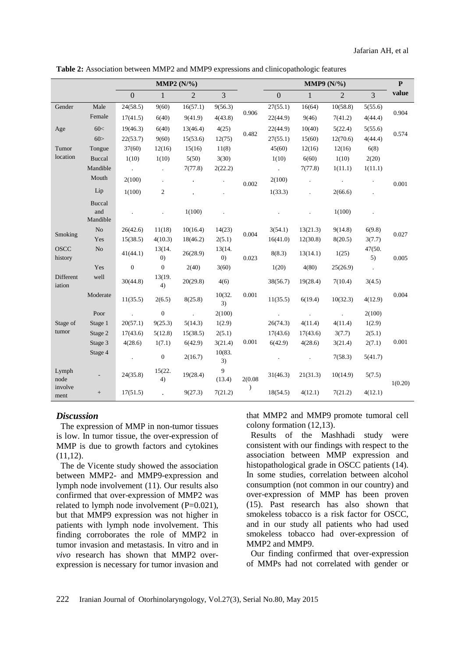| Table 2: Association between MMP2 and MMP9 expressions and clinicopathologic features |  |  |
|---------------------------------------------------------------------------------------|--|--|
|---------------------------------------------------------------------------------------|--|--|

|                        |                | MMP2 $(N\frac{9}{6})$ |                             |                |                             | MMP9 $(N\frac{9}{6})$ |                      |                      | $\mathbf{P}$   |              |         |
|------------------------|----------------|-----------------------|-----------------------------|----------------|-----------------------------|-----------------------|----------------------|----------------------|----------------|--------------|---------|
|                        |                | $\boldsymbol{0}$      | $\mathbf{1}$                | $\overline{2}$ | 3                           |                       | $\mathbf{0}$         | $\mathbf{1}$         | $\overline{2}$ | 3            | value   |
| Gender                 | Male           | 24(58.5)              | 9(60)                       | 16(57.1)       | 9(56.3)                     | 0.906                 | 27(55.1)             | 16(64)               | 10(58.8)       | 5(55.6)      | 0.904   |
|                        | Female         | 17(41.5)              | 6(40)                       | 9(41.9)        | 4(43.8)                     |                       | 22(44.9)             | 9(46)                | 7(41.2)        | 4(44.4)      |         |
| Age                    | 60<            | 19(46.3)              | 6(40)                       | 13(46.4)       | 4(25)                       | 0.482                 | 22(44.9)             | 10(40)               | 5(22.4)        | 5(55.6)      | 0.574   |
|                        | 60>            | 22(53.7)              | 9(60)                       | 15(53.6)       | 12(75)                      |                       | 27(55.1)             | 15(60)               | 12(70.6)       | 4(44.4)      |         |
| Tumor                  | Tongue         | 37(60)                | 12(16)                      | 15(16)         | 11(8)                       |                       | 45(60)               | 12(16)               | 12(16)         | 6(8)         |         |
| location               | <b>Buccal</b>  | 1(10)                 | 1(10)                       | 5(50)          | 3(30)                       |                       | 1(10)                | 6(60)                | 1(10)          | 2(20)        |         |
|                        | Mandible       | $\sim 10$             | $\ddot{\phantom{a}}$        | 7(77.8)        | 2(22.2)                     |                       | $\ddot{\phantom{0}}$ | 7(77.8)              | 1(11.1)        | 1(11.1)      |         |
|                        | Mouth          | 2(100)                | $\ddot{\phantom{0}}$        | $\blacksquare$ |                             | 0.002                 | 2(100)               | $\ddot{\phantom{a}}$ |                |              | 0.001   |
|                        | Lip            | 1(100)                | $\mathfrak{2}$              |                |                             |                       | 1(33.3)              |                      | 2(66.6)        |              |         |
|                        | <b>Buccal</b>  |                       |                             |                |                             |                       |                      |                      |                |              |         |
|                        | and            |                       |                             | 1(100)         |                             |                       |                      |                      | 1(100)         |              |         |
|                        | Mandible       |                       |                             |                |                             |                       |                      |                      |                |              |         |
| Smoking                | N <sub>o</sub> | 26(42.6)              | 11(18)                      | 10(16.4)       | 14(23)                      | 0.004                 | 3(54.1)              | 13(21.3)             | 9(14.8)        | 6(9.8)       | 0.027   |
|                        | Yes            | 15(38.5)              | 4(10.3)                     | 18(46.2)       | 2(5.1)                      |                       | 16(41.0)             | 12(30.8)             | 8(20.5)        | 3(7.7)       |         |
| <b>OSCC</b><br>history | No             | 41(44.1)              | 13(14.<br>$\left( 0\right)$ | 26(28.9)       | 13(14.<br>$\left( 0\right)$ | 0.023                 | 8(8.3)               | 13(14.1)             | 1(25)          | 47(50.<br>5) | 0.005   |
|                        | Yes            | $\mathbf{0}$          | $\theta$                    | 2(40)          | 3(60)                       |                       | 1(20)                | 4(80)                | 25(26.9)       | $\sim$       |         |
| Different<br>iation    | well           | 30(44.8)              | 13(19.<br>4)                | 20(29.8)       | 4(6)                        |                       | 38(56.7)             | 19(28.4)             | 7(10.4)        | 3(4.5)       |         |
|                        | Moderate       | 11(35.5)              | 2(6.5)                      | 8(25.8)        | 10(32.<br>3)                | 0.001                 | 11(35.5)             | 6(19.4)              | 10(32.3)       | 4(12.9)      | 0.004   |
|                        | Poor           |                       | $\boldsymbol{0}$            | $\mathcal{L}$  | 2(100)                      |                       |                      |                      |                | 2(100)       |         |
| Stage of               | Stage 1        | 20(57.1)              | 9(25.3)                     | 5(14.3)        | 1(2.9)                      |                       | 26(74.3)             | 4(11.4)              | 4(11.4)        | 1(2.9)       |         |
| tumor                  | Stage 2        | 17(43.6)              | 5(12.8)                     | 15(38.5)       | 2(5.1)                      |                       | 17(43.6)             | 17(43.6)             | 3(7.7)         | 2(5.1)       |         |
|                        | Stage 3        | 4(28.6)               | 1(7.1)                      | 6(42.9)        | 3(21.4)                     | 0.001                 | 6(42.9)              | 4(28.6)              | 3(21.4)        | 2(7.1)       | 0.001   |
|                        | Stage 4        |                       | $\mathbf{0}$                | 2(16.7)        | 10(83.<br>3)                |                       |                      |                      | 7(58.3)        | 5(41.7)      |         |
| Lymph<br>node          |                | 24(35.8)              | 15(22.<br>4)                | 19(28.4)       | 9<br>(13.4)                 | 2(0.08)               | 31(46.3)             | 21(31.3)             | 10(14.9)       | 5(7.5)       | 1(0.20) |
| involve<br>ment        | $^+$           | 17(51.5)              |                             | 9(27.3)        | 7(21.2)                     | $\mathcal{E}$         | 18(54.5)             | 4(12.1)              | 7(21.2)        | 4(12.1)      |         |

### *Discussion*

The expression of MMP in non-tumor tissues is low. In tumor tissue, the over-expression of MMP is due to growth factors and cytokines  $(11,12)$ .

The de Vicente study showed the association between MMP2- and MMP9-expression and lymph node involvement (11). Our results also confirmed that over-expression of MMP2 was related to lymph node involvement (P=0.021), but that MMP9 expression was not higher in patients with lymph node involvement. This finding corroborates the role of MMP2 in tumor invasion and metastasis. In vitro and in *vivo* research has shown that MMP2 overexpression is necessary for tumor invasion and that MMP2 and MMP9 promote tumoral cell colony formation (12,13).

Results of the Mashhadi study were consistent with our findings with respect to the association between MMP expression and histopathological grade in OSCC patients (14). In some studies, correlation between alcohol consumption (not common in our country) and over-expression of MMP has been proven (15). Past research has also shown that smokeless tobacco is a risk factor for OSCC, and in our study all patients who had used smokeless tobacco had over-expression of MMP2 and MMP9.

Our finding confirmed that over-expression of MMPs had not correlated with gender or